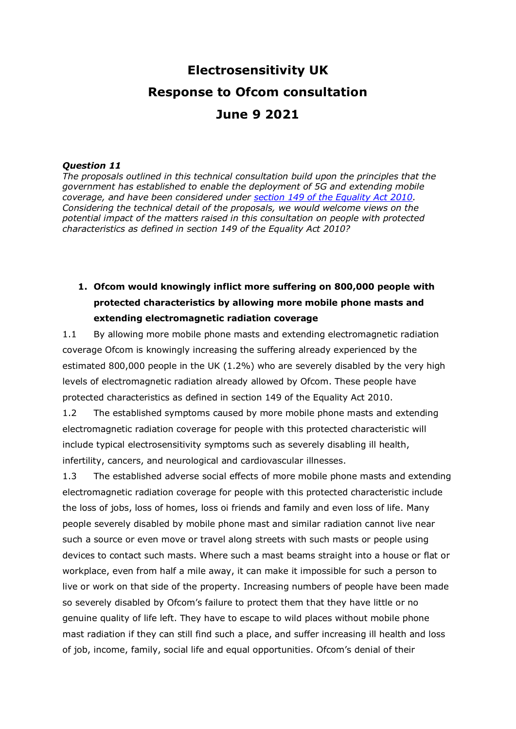# **Electrosensitivity UK Response to Ofcom consultation June 9 2021**

#### *Question 11*

*The proposals outlined in this technical consultation build upon the principles that the government has established to enable the deployment of 5G and extending mobile coverage, and have been considered under [section 149 of the Equality Act 2010.](https://www.legislation.gov.uk/ukpga/2010/15/section/149) Considering the technical detail of the proposals, we would welcome views on the potential impact of the matters raised in this consultation on people with protected characteristics as defined in section 149 of the Equality Act 2010?*

### **1. Ofcom would knowingly inflict more suffering on 800,000 people with protected characteristics by allowing more mobile phone masts and extending electromagnetic radiation coverage**

1.1 By allowing more mobile phone masts and extending electromagnetic radiation coverage Ofcom is knowingly increasing the suffering already experienced by the estimated 800,000 people in the UK (1.2%) who are severely disabled by the very high levels of electromagnetic radiation already allowed by Ofcom. These people have protected characteristics as defined in section 149 of the Equality Act 2010.

1.2 The established symptoms caused by more mobile phone masts and extending electromagnetic radiation coverage for people with this protected characteristic will include typical electrosensitivity symptoms such as severely disabling ill health, infertility, cancers, and neurological and cardiovascular illnesses.

1.3 The established adverse social effects of more mobile phone masts and extending electromagnetic radiation coverage for people with this protected characteristic include the loss of jobs, loss of homes, loss oi friends and family and even loss of life. Many people severely disabled by mobile phone mast and similar radiation cannot live near such a source or even move or travel along streets with such masts or people using devices to contact such masts. Where such a mast beams straight into a house or flat or workplace, even from half a mile away, it can make it impossible for such a person to live or work on that side of the property. Increasing numbers of people have been made so severely disabled by Ofcom's failure to protect them that they have little or no genuine quality of life left. They have to escape to wild places without mobile phone mast radiation if they can still find such a place, and suffer increasing ill health and loss of job, income, family, social life and equal opportunities. Ofcom's denial of their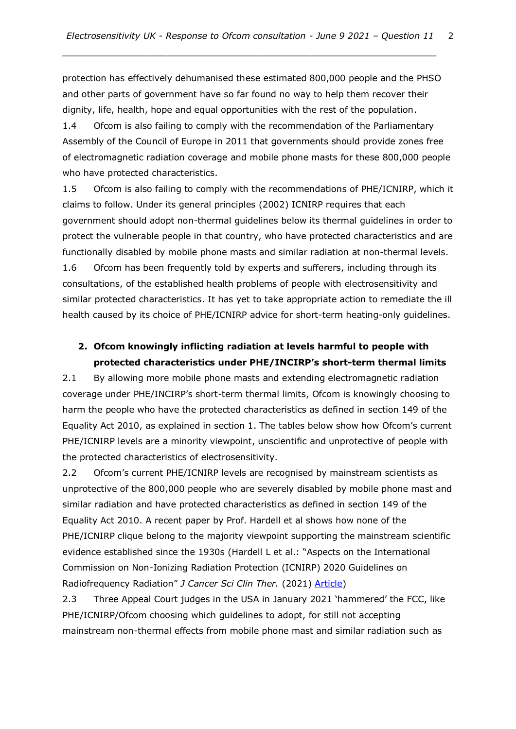protection has effectively dehumanised these estimated 800,000 people and the PHSO and other parts of government have so far found no way to help them recover their dignity, life, health, hope and equal opportunities with the rest of the population.

*\_\_\_\_\_\_\_\_\_\_\_\_\_\_\_\_\_\_\_\_\_\_\_\_\_\_\_\_\_\_\_\_\_\_\_\_\_\_\_\_\_\_\_\_\_\_\_\_\_\_\_\_\_\_\_\_\_\_\_\_\_\_\_\_\_\_\_\_*

1.4 Ofcom is also failing to comply with the recommendation of the Parliamentary Assembly of the Council of Europe in 2011 that governments should provide zones free of electromagnetic radiation coverage and mobile phone masts for these 800,000 people who have protected characteristics.

1.5 Ofcom is also failing to comply with the recommendations of PHE/ICNIRP, which it claims to follow. Under its general principles (2002) ICNIRP requires that each government should adopt non-thermal guidelines below its thermal guidelines in order to protect the vulnerable people in that country, who have protected characteristics and are functionally disabled by mobile phone masts and similar radiation at non-thermal levels.

1.6 Ofcom has been frequently told by experts and sufferers, including through its consultations, of the established health problems of people with electrosensitivity and similar protected characteristics. It has yet to take appropriate action to remediate the ill health caused by its choice of PHE/ICNIRP advice for short-term heating-only guidelines.

#### **2. Ofcom knowingly inflicting radiation at levels harmful to people with protected characteristics under PHE/INCIRP's short-term thermal limits**

2.1 By allowing more mobile phone masts and extending electromagnetic radiation coverage under PHE/INCIRP's short-term thermal limits, Ofcom is knowingly choosing to harm the people who have the protected characteristics as defined in section 149 of the Equality Act 2010, as explained in section 1. The tables below show how Ofcom's current PHE/ICNIRP levels are a minority viewpoint, unscientific and unprotective of people with the protected characteristics of electrosensitivity.

2.2 Ofcom's current PHE/ICNIRP levels are recognised by mainstream scientists as unprotective of the 800,000 people who are severely disabled by mobile phone mast and similar radiation and have protected characteristics as defined in section 149 of the Equality Act 2010. A recent paper by Prof. Hardell et al shows how none of the PHE/ICNIRP clique belong to the majority viewpoint supporting the mainstream scientific evidence established since the 1930s (Hardell L et al.: "Aspects on the International Commission on Non-Ionizing Radiation Protection (ICNIRP) 2020 Guidelines on Radiofrequency Radiation" *J Cancer Sci Clin Ther.* (2021) [Article\)](https://www.fortunejournals.com/articles/aspects-on-the-international-commission-on-nonionizing-radiation-protection-icnirp-2020-guidelines-on-radiofrequency-radiation.pdf)

2.3 Three Appeal Court judges in the USA in January 2021 'hammered' the FCC, like PHE/ICNIRP/Ofcom choosing which guidelines to adopt, for still not accepting mainstream non-thermal effects from mobile phone mast and similar radiation such as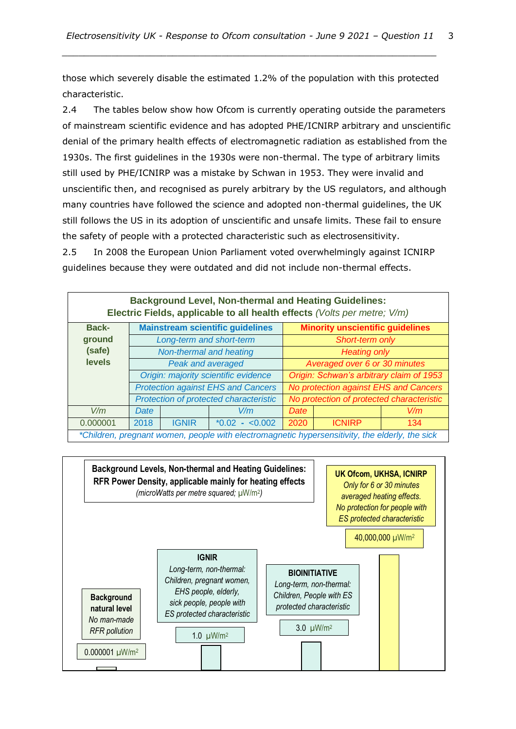those which severely disable the estimated 1.2% of the population with this protected characteristic.

*\_\_\_\_\_\_\_\_\_\_\_\_\_\_\_\_\_\_\_\_\_\_\_\_\_\_\_\_\_\_\_\_\_\_\_\_\_\_\_\_\_\_\_\_\_\_\_\_\_\_\_\_\_\_\_\_\_\_\_\_\_\_\_\_\_\_\_\_*

2.4 The tables below show how Ofcom is currently operating outside the parameters of mainstream scientific evidence and has adopted PHE/ICNIRP arbitrary and unscientific denial of the primary health effects of electromagnetic radiation as established from the 1930s. The first guidelines in the 1930s were non-thermal. The type of arbitrary limits still used by PHE/ICNIRP was a mistake by Schwan in 1953. They were invalid and unscientific then, and recognised as purely arbitrary by the US regulators, and although many countries have followed the science and adopted non-thermal guidelines, the UK still follows the US in its adoption of unscientific and unsafe limits. These fail to ensure the safety of people with a protected characteristic such as electrosensitivity.

2.5 In 2008 the European Union Parliament voted overwhelmingly against ICNIRP guidelines because they were outdated and did not include non-thermal effects.

| <b>Background Level, Non-thermal and Heating Guidelines:</b><br>Electric Fields, applicable to all health effects (Volts per metre; V/m) |                                           |                          |                 |                                           |               |     |
|------------------------------------------------------------------------------------------------------------------------------------------|-------------------------------------------|--------------------------|-----------------|-------------------------------------------|---------------|-----|
| <b>Back-</b>                                                                                                                             | <b>Mainstream scientific guidelines</b>   |                          |                 | <b>Minority unscientific guidelines</b>   |               |     |
| ground                                                                                                                                   |                                           | Long-term and short-term |                 | Short-term only                           |               |     |
| (safe)                                                                                                                                   | Non-thermal and heating                   |                          |                 | <b>Heating only</b>                       |               |     |
| <b>levels</b>                                                                                                                            | Peak and averaged                         |                          |                 | Averaged over 6 or 30 minutes             |               |     |
|                                                                                                                                          | Origin: majority scientific evidence      |                          |                 | Origin: Schwan's arbitrary claim of 1953  |               |     |
|                                                                                                                                          | <b>Protection against EHS and Cancers</b> |                          |                 | No protection against EHS and Cancers     |               |     |
|                                                                                                                                          | Protection of protected characteristic    |                          |                 | No protection of protected characteristic |               |     |
| V/m                                                                                                                                      | Date                                      |                          | V/m             | Date                                      |               | V/m |
| 0.000001                                                                                                                                 | 2018                                      | <b>IGNIR</b>             | $*0.02 - 0.002$ | 2020                                      | <b>ICNIRP</b> | 134 |
| *Children, pregnant women, people with electromagnetic hypersensitivity, the elderly, the sick                                           |                                           |                          |                 |                                           |               |     |

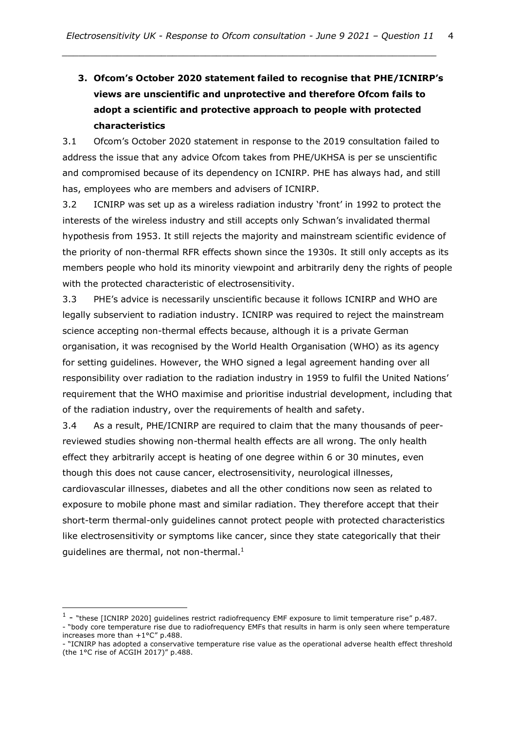# **3. Ofcom's October 2020 statement failed to recognise that PHE/ICNIRP's views are unscientific and unprotective and therefore Ofcom fails to adopt a scientific and protective approach to people with protected characteristics**

3.1 Ofcom's October 2020 statement in response to the 2019 consultation failed to address the issue that any advice Ofcom takes from PHE/UKHSA is per se unscientific and compromised because of its dependency on ICNIRP. PHE has always had, and still has, employees who are members and advisers of ICNIRP.

3.2 ICNIRP was set up as a wireless radiation industry 'front' in 1992 to protect the interests of the wireless industry and still accepts only Schwan's invalidated thermal hypothesis from 1953. It still rejects the majority and mainstream scientific evidence of the priority of non-thermal RFR effects shown since the 1930s. It still only accepts as its members people who hold its minority viewpoint and arbitrarily deny the rights of people with the protected characteristic of electrosensitivity.

3.3 PHE's advice is necessarily unscientific because it follows ICNIRP and WHO are legally subservient to radiation industry. ICNIRP was required to reject the mainstream science accepting non-thermal effects because, although it is a private German organisation, it was recognised by the World Health Organisation (WHO) as its agency for setting guidelines. However, the WHO signed a legal agreement handing over all responsibility over radiation to the radiation industry in 1959 to fulfil the United Nations' requirement that the WHO maximise and prioritise industrial development, including that of the radiation industry, over the requirements of health and safety.

3.4 As a result, PHE/ICNIRP are required to claim that the many thousands of peerreviewed studies showing non-thermal health effects are all wrong. The only health effect they arbitrarily accept is heating of one degree within 6 or 30 minutes, even though this does not cause cancer, electrosensitivity, neurological illnesses, cardiovascular illnesses, diabetes and all the other conditions now seen as related to exposure to mobile phone mast and similar radiation. They therefore accept that their short-term thermal-only guidelines cannot protect people with protected characteristics like electrosensitivity or symptoms like cancer, since they state categorically that their quidelines are thermal, not non-thermal. $<sup>1</sup>$ </sup>

 $<sup>1</sup>$  - "these [ICNIRP 2020] guidelines restrict radiofrequency EMF exposure to limit temperature rise" p.487.</sup> - "body core temperature rise due to radiofrequency EMFs that results in harm is only seen where temperature

increases more than +1°C" p.488. - "ICNIRP has adopted a conservative temperature rise value as the operational adverse health effect threshold

<sup>(</sup>the 1°C rise of ACGIH 2017)" p.488.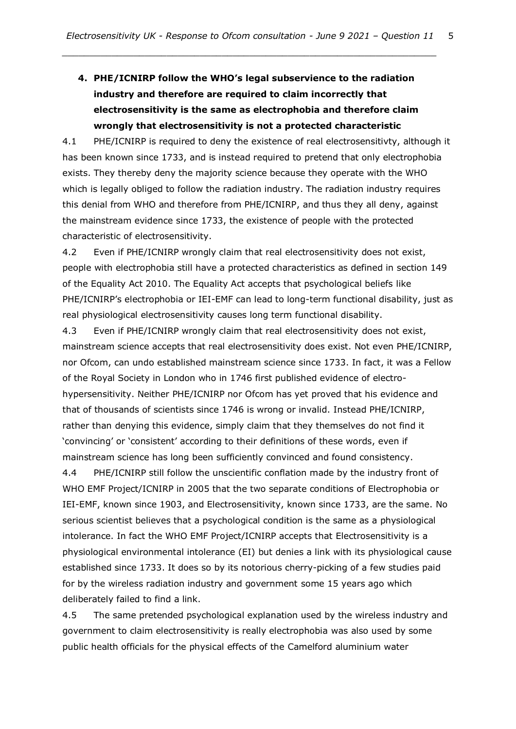# **4. PHE/ICNIRP follow the WHO's legal subservience to the radiation industry and therefore are required to claim incorrectly that electrosensitivity is the same as electrophobia and therefore claim wrongly that electrosensitivity is not a protected characteristic**

*\_\_\_\_\_\_\_\_\_\_\_\_\_\_\_\_\_\_\_\_\_\_\_\_\_\_\_\_\_\_\_\_\_\_\_\_\_\_\_\_\_\_\_\_\_\_\_\_\_\_\_\_\_\_\_\_\_\_\_\_\_\_\_\_\_\_\_\_*

4.1 PHE/ICNIRP is required to deny the existence of real electrosensitivty, although it has been known since 1733, and is instead required to pretend that only electrophobia exists. They thereby deny the majority science because they operate with the WHO which is legally obliged to follow the radiation industry. The radiation industry requires this denial from WHO and therefore from PHE/ICNIRP, and thus they all deny, against the mainstream evidence since 1733, the existence of people with the protected characteristic of electrosensitivity.

4.2 Even if PHE/ICNIRP wrongly claim that real electrosensitivity does not exist, people with electrophobia still have a protected characteristics as defined in section 149 of the Equality Act 2010. The Equality Act accepts that psychological beliefs like PHE/ICNIRP's electrophobia or IEI-EMF can lead to long-term functional disability, just as real physiological electrosensitivity causes long term functional disability.

4.3 Even if PHE/ICNIRP wrongly claim that real electrosensitivity does not exist, mainstream science accepts that real electrosensitivity does exist. Not even PHE/ICNIRP, nor Ofcom, can undo established mainstream science since 1733. In fact, it was a Fellow of the Royal Society in London who in 1746 first published evidence of electrohypersensitivity. Neither PHE/ICNIRP nor Ofcom has yet proved that his evidence and that of thousands of scientists since 1746 is wrong or invalid. Instead PHE/ICNIRP, rather than denying this evidence, simply claim that they themselves do not find it 'convincing' or 'consistent' according to their definitions of these words, even if mainstream science has long been sufficiently convinced and found consistency.

4.4 PHE/ICNIRP still follow the unscientific conflation made by the industry front of WHO EMF Project/ICNIRP in 2005 that the two separate conditions of Electrophobia or IEI-EMF, known since 1903, and Electrosensitivity, known since 1733, are the same. No serious scientist believes that a psychological condition is the same as a physiological intolerance. In fact the WHO EMF Project/ICNIRP accepts that Electrosensitivity is a physiological environmental intolerance (EI) but denies a link with its physiological cause established since 1733. It does so by its notorious cherry-picking of a few studies paid for by the wireless radiation industry and government some 15 years ago which deliberately failed to find a link.

4.5 The same pretended psychological explanation used by the wireless industry and government to claim electrosensitivity is really electrophobia was also used by some public health officials for the physical effects of the Camelford aluminium water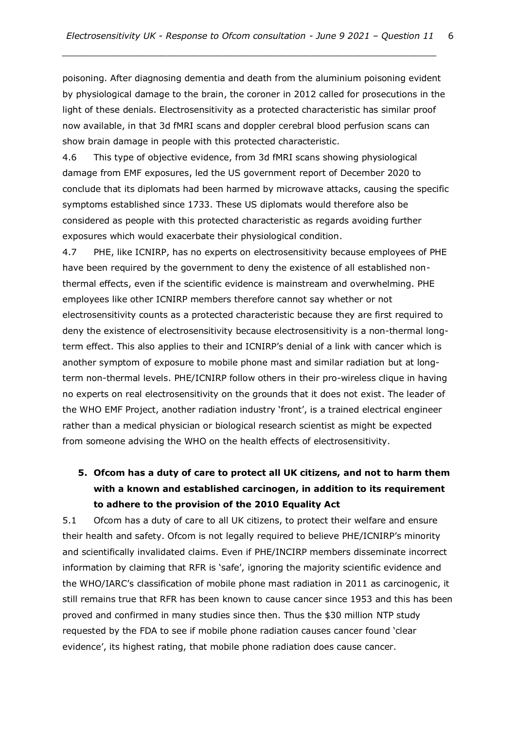poisoning. After diagnosing dementia and death from the aluminium poisoning evident by physiological damage to the brain, the coroner in 2012 called for prosecutions in the light of these denials. Electrosensitivity as a protected characteristic has similar proof now available, in that 3d fMRI scans and doppler cerebral blood perfusion scans can show brain damage in people with this protected characteristic.

4.6 This type of objective evidence, from 3d fMRI scans showing physiological damage from EMF exposures, led the US government report of December 2020 to conclude that its diplomats had been harmed by microwave attacks, causing the specific symptoms established since 1733. These US diplomats would therefore also be considered as people with this protected characteristic as regards avoiding further exposures which would exacerbate their physiological condition.

4.7 PHE, like ICNIRP, has no experts on electrosensitivity because employees of PHE have been required by the government to deny the existence of all established nonthermal effects, even if the scientific evidence is mainstream and overwhelming. PHE employees like other ICNIRP members therefore cannot say whether or not electrosensitivity counts as a protected characteristic because they are first required to deny the existence of electrosensitivity because electrosensitivity is a non-thermal longterm effect. This also applies to their and ICNIRP's denial of a link with cancer which is another symptom of exposure to mobile phone mast and similar radiation but at longterm non-thermal levels. PHE/ICNIRP follow others in their pro-wireless clique in having no experts on real electrosensitivity on the grounds that it does not exist. The leader of the WHO EMF Project, another radiation industry 'front', is a trained electrical engineer rather than a medical physician or biological research scientist as might be expected from someone advising the WHO on the health effects of electrosensitivity.

### **5. Ofcom has a duty of care to protect all UK citizens, and not to harm them with a known and established carcinogen, in addition to its requirement to adhere to the provision of the 2010 Equality Act**

5.1 Ofcom has a duty of care to all UK citizens, to protect their welfare and ensure their health and safety. Ofcom is not legally required to believe PHE/ICNIRP's minority and scientifically invalidated claims. Even if PHE/INCIRP members disseminate incorrect information by claiming that RFR is 'safe', ignoring the majority scientific evidence and the WHO/IARC's classification of mobile phone mast radiation in 2011 as carcinogenic, it still remains true that RFR has been known to cause cancer since 1953 and this has been proved and confirmed in many studies since then. Thus the \$30 million NTP study requested by the FDA to see if mobile phone radiation causes cancer found 'clear evidence', its highest rating, that mobile phone radiation does cause cancer.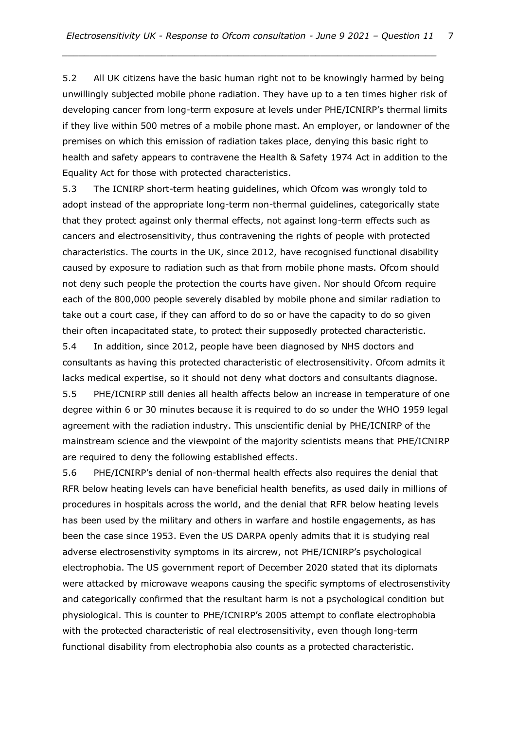5.2 All UK citizens have the basic human right not to be knowingly harmed by being unwillingly subjected mobile phone radiation. They have up to a ten times higher risk of developing cancer from long-term exposure at levels under PHE/ICNIRP's thermal limits if they live within 500 metres of a mobile phone mast. An employer, or landowner of the premises on which this emission of radiation takes place, denying this basic right to health and safety appears to contravene the Health & Safety 1974 Act in addition to the Equality Act for those with protected characteristics.

5.3 The ICNIRP short-term heating guidelines, which Ofcom was wrongly told to adopt instead of the appropriate long-term non-thermal guidelines, categorically state that they protect against only thermal effects, not against long-term effects such as cancers and electrosensitivity, thus contravening the rights of people with protected characteristics. The courts in the UK, since 2012, have recognised functional disability caused by exposure to radiation such as that from mobile phone masts. Ofcom should not deny such people the protection the courts have given. Nor should Ofcom require each of the 800,000 people severely disabled by mobile phone and similar radiation to take out a court case, if they can afford to do so or have the capacity to do so given their often incapacitated state, to protect their supposedly protected characteristic.

5.4 In addition, since 2012, people have been diagnosed by NHS doctors and consultants as having this protected characteristic of electrosensitivity. Ofcom admits it lacks medical expertise, so it should not deny what doctors and consultants diagnose. 5.5 PHE/ICNIRP still denies all health affects below an increase in temperature of one degree within 6 or 30 minutes because it is required to do so under the WHO 1959 legal agreement with the radiation industry. This unscientific denial by PHE/ICNIRP of the mainstream science and the viewpoint of the majority scientists means that PHE/ICNIRP are required to deny the following established effects.

5.6 PHE/ICNIRP's denial of non-thermal health effects also requires the denial that RFR below heating levels can have beneficial health benefits, as used daily in millions of procedures in hospitals across the world, and the denial that RFR below heating levels has been used by the military and others in warfare and hostile engagements, as has been the case since 1953. Even the US DARPA openly admits that it is studying real adverse electrosenstivity symptoms in its aircrew, not PHE/ICNIRP's psychological electrophobia. The US government report of December 2020 stated that its diplomats were attacked by microwave weapons causing the specific symptoms of electrosenstivity and categorically confirmed that the resultant harm is not a psychological condition but physiological. This is counter to PHE/ICNIRP's 2005 attempt to conflate electrophobia with the protected characteristic of real electrosensitivity, even though long-term functional disability from electrophobia also counts as a protected characteristic.